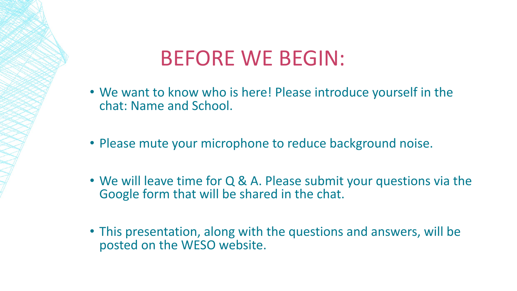#### BEFORE WE BEGIN:

- We want to know who is here! Please introduce yourself in the chat: Name and School.
- Please mute your microphone to reduce background noise.
- We will leave time for Q & A. Please submit your questions via the Google form that will be shared in the chat.
- This presentation, along with the questions and answers, will be posted on the WESO website.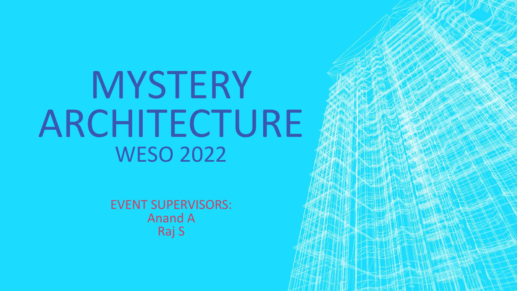# MYSTERY ARCHITECTURE WESO 2022

EVENT SUPERVISORS: Anand A Raj S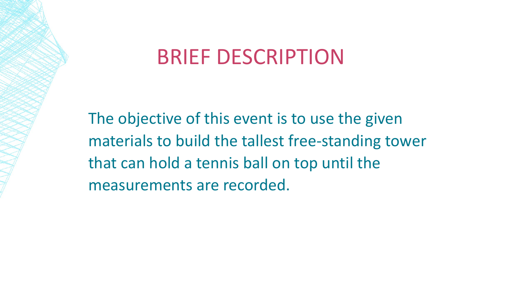#### BRIEF DESCRIPTION

The objective of this event is to use the given materials to build the tallest free-standing tower that can hold a tennis ball on top until the measurements are recorded.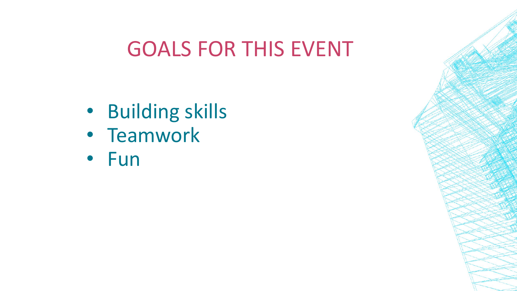#### GOALS FOR THIS EVENT

- Building skills
- Teamwork
- Fun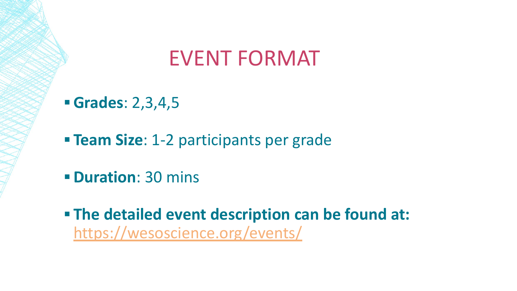#### EVENT FORMAT

**▪ Grades**: 2,3,4,5

**Exam Size: 1-2 participants per grade** 

- **▪ Duration**: 30 mins
- **▪ The detailed event description can be found at:**  <https://wesoscience.org/events/>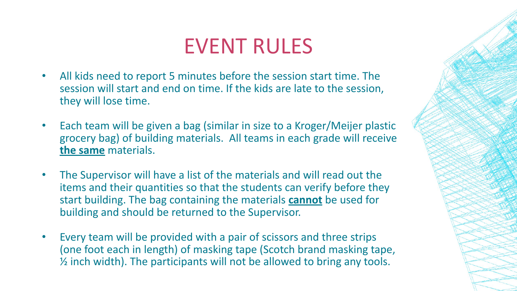#### EVENT RULES

- All kids need to report 5 minutes before the session start time. The session will start and end on time. If the kids are late to the session, they will lose time.
- Each team will be given a bag (similar in size to a Kroger/Meijer plastic grocery bag) of building materials. All teams in each grade will receive **the same** materials.
- The Supervisor will have a list of the materials and will read out the items and their quantities so that the students can verify before they start building. The bag containing the materials **cannot** be used for building and should be returned to the Supervisor.
- Every team will be provided with a pair of scissors and three strips (one foot each in length) of masking tape (Scotch brand masking tape, ½ inch width). The participants will not be allowed to bring any tools.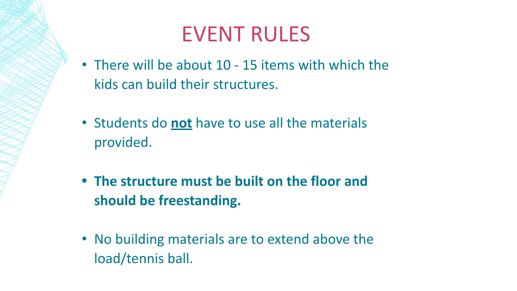#### EVENT RULES

- There will be about 10 15 items with which the kids can build their structures.
- Students do **not** have to use all the materials provided.
- **• The structure must be built on the floor and should be freestanding.**
- No building materials are to extend above the load/tennis ball.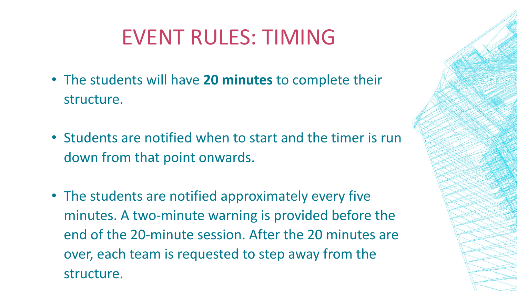## EVENT RULES: TIMING

- The students will have **20 minutes** to complete their structure.
- Students are notified when to start and the timer is run down from that point onwards.
- The students are notified approximately every five minutes. A two-minute warning is provided before the end of the 20-minute session. After the 20 minutes are over, each team is requested to step away from the structure.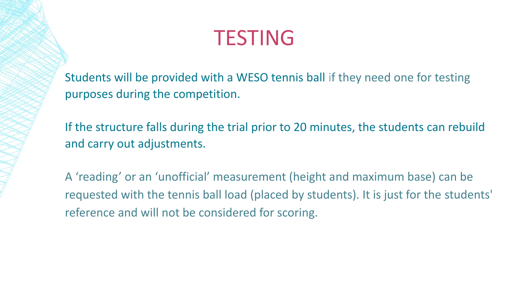#### TESTING

Students will be provided with a WESO tennis ball if they need one for testing purposes during the competition.

If the structure falls during the trial prior to 20 minutes, the students can rebuild and carry out adjustments.

A 'reading' or an 'unofficial' measurement (height and maximum base) can be requested with the tennis ball load (placed by students). It is just for the students' reference and will not be considered for scoring.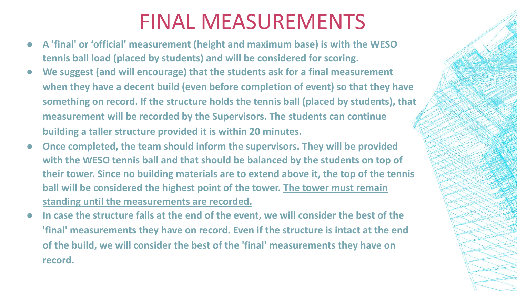#### FINAL MEASUREMENTS

- **● A 'final' or 'official' measurement (height and maximum base) is with the WESO tennis ball load (placed by students) and will be considered for scoring.**
- We suggest (and will encourage) that the students ask for a final measurement **when they have a decent build (even before completion of event) so that they have something on record. If the structure holds the tennis ball (placed by students), that measurement will be recorded by the Supervisors. The students can continue building a taller structure provided it is within 20 minutes.**
- **Once completed, the team should inform the supervisors. They will be provided with the WESO tennis ball and that should be balanced by the students on top of their tower. Since no building materials are to extend above it, the top of the tennis ball will be considered the highest point of the tower. The tower must remain standing until the measurements are recorded.**
- In case the structure falls at the end of the event, we will consider the best of the **'final' measurements they have on record. Even if the structure is intact at the end of the build, we will consider the best of the 'final' measurements they have on record.**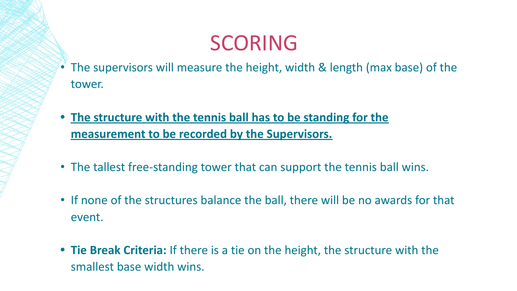#### SCORING

- The supervisors will measure the height, width & length (max base) of the tower.
- **• The structure with the tennis ball has to be standing for the measurement to be recorded by the Supervisors.**
- The tallest free-standing tower that can support the tennis ball wins.
- If none of the structures balance the ball, there will be no awards for that event.
- **• Tie Break Criteria:** If there is a tie on the height, the structure with the smallest base width wins.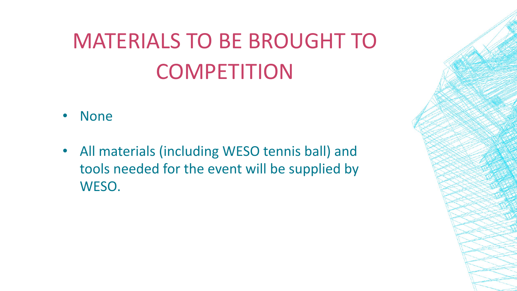# MATERIALS TO BE BROUGHT TO **COMPETITION**

- None
- All materials (including WESO tennis ball) and tools needed for the event will be supplied by WESO.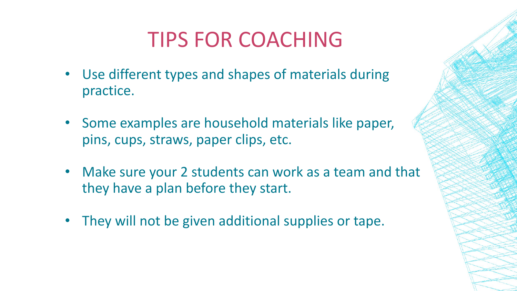### TIPS FOR COACHING

- Use different types and shapes of materials during practice.
- Some examples are household materials like paper, pins, cups, straws, paper clips, etc.
- Make sure your 2 students can work as a team and that they have a plan before they start.
- They will not be given additional supplies or tape.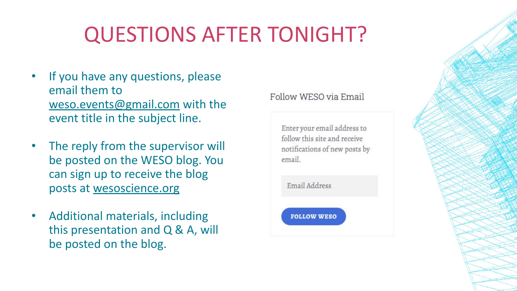# QUESTIONS AFTER TONIGHT?

- If you have any questions, please email them to [weso.events@gmail.com](mailto:weso.events@gmail.com) with the event title in the subject line.
- The reply from the supervisor will be posted on the WESO blog. You can sign up to receive the blog posts at wesoscience.org
- Additional materials, including this presentation and Q & A, will be posted on the blog.

#### Follow WESO via Email

Enter your email address to follow this site and receive notifications of new posts by email.

Email Address

**FOLLOW WESO**